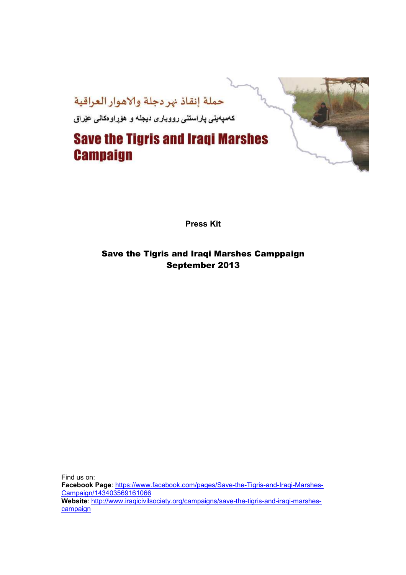

**Press Kit** 

### Save the Tigris and Iraqi Marshes Camppaign September 2013

Find us on: **Facebook Page**: https://www.facebook.com/pages/Save-the-Tigris-and-Iraqi-Marshes-Campaign/143403569161066 **Website**: http://www.iraqicivilsociety.org/campaigns/save-the-tigris-and-iraqi-marshescampaign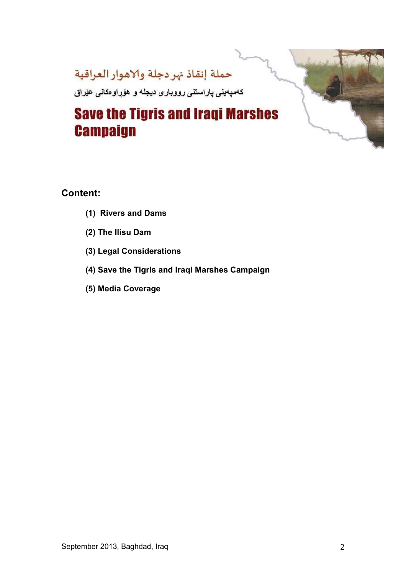

### **Content:**

- **(1) Rivers and Dams**
- **(2) The Ilisu Dam**
- **(3) Legal Considerations**
- **(4) Save the Tigris and Iraqi Marshes Campaign**
- **(5) Media Coverage**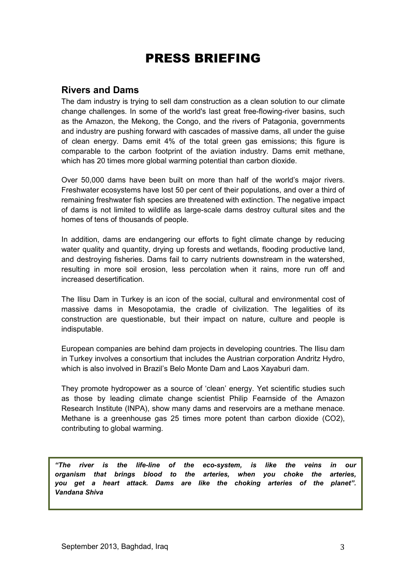# PRESS BRIEFING

### **Rivers and Dams**

The dam industry is trying to sell dam construction as a clean solution to our climate change challenges. In some of the world's last great free-flowing-river basins, such as the Amazon, the Mekong, the Congo, and the rivers of Patagonia, governments and industry are pushing forward with cascades of massive dams, all under the guise of clean energy. Dams emit 4% of the total green gas emissions; this figure is comparable to the carbon footprint of the aviation industry. Dams emit methane, which has 20 times more global warming potential than carbon dioxide.

Over 50,000 dams have been built on more than half of the world's major rivers. Freshwater ecosystems have lost 50 per cent of their populations, and over a third of remaining freshwater fish species are threatened with extinction. The negative impact of dams is not limited to wildlife as large-scale dams destroy cultural sites and the homes of tens of thousands of people.

In addition, dams are endangering our efforts to fight climate change by reducing water quality and quantity, drying up forests and wetlands, flooding productive land, and destroying fisheries. Dams fail to carry nutrients downstream in the watershed, resulting in more soil erosion, less percolation when it rains, more run off and increased desertification.

The Ilisu Dam in Turkey is an icon of the social, cultural and environmental cost of massive dams in Mesopotamia, the cradle of civilization. The legalities of its construction are questionable, but their impact on nature, culture and people is indisputable.

European companies are behind dam projects in developing countries. The Ilisu dam in Turkey involves a consortium that includes the Austrian corporation Andritz Hydro, which is also involved in Brazil's Belo Monte Dam and Laos Xayaburi dam.

They promote hydropower as a source of 'clean' energy. Yet scientific studies such as those by leading climate change scientist Philip Fearnside of the Amazon Research Institute (INPA), show many dams and reservoirs are a methane menace. Methane is a greenhouse gas 25 times more potent than carbon dioxide (CO2), contributing to global warming.

*"The river is the life-line of the eco-system, is like the veins in our organism that brings blood to the arteries, when you choke the arteries, you get a heart attack. Dams are like the choking arteries of the planet". Vandana Shiva*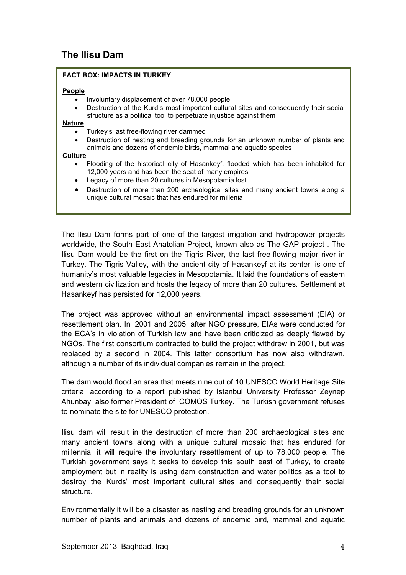### **The Ilisu Dam**

#### **FACT BOX: IMPACTS IN TURKEY**

#### **People**

- Involuntary displacement of over 78,000 people
- Destruction of the Kurd's most important cultural sites and consequently their social structure as a political tool to perpetuate injustice against them

#### **Nature**

- Turkey's last free-flowing river dammed
- Destruction of nesting and breeding grounds for an unknown number of plants and animals and dozens of endemic birds, mammal and aquatic species

#### **Culture**

- Flooding of the historical city of Hasankeyf, flooded which has been inhabited for 12,000 years and has been the seat of many empires
- Legacy of more than 20 cultures in Mesopotamia lost
- Destruction of more than 200 archeological sites and many ancient towns along a unique cultural mosaic that has endured for millenia

The Ilisu Dam forms part of one of the largest irrigation and hydropower projects worldwide, the South East Anatolian Project, known also as The GAP project . The Ilisu Dam would be the first on the Tigris River, the last free-flowing major river in Turkey. The Tigris Valley, with the ancient city of Hasankeyf at its center, is one of humanity's most valuable legacies in Mesopotamia. It laid the foundations of eastern and western civilization and hosts the legacy of more than 20 cultures. Settlement at Hasankeyf has persisted for 12,000 years.

The project was approved without an environmental impact assessment (EIA) or resettlement plan. In 2001 and 2005, after NGO pressure, EIAs were conducted for the ECA's in violation of Turkish law and have been criticized as deeply flawed by NGOs. The first consortium contracted to build the project withdrew in 2001, but was replaced by a second in 2004. This latter consortium has now also withdrawn, although a number of its individual companies remain in the project.

The dam would flood an area that meets nine out of 10 UNESCO World Heritage Site criteria, according to a report published by Istanbul University Professor Zeynep Ahunbay, also former President of ICOMOS Turkey. The Turkish government refuses to nominate the site for UNESCO protection.

Ilisu dam will result in the destruction of more than 200 archaeological sites and many ancient towns along with a unique cultural mosaic that has endured for millennia; it will require the involuntary resettlement of up to 78,000 people. The Turkish government says it seeks to develop this south east of Turkey, to create employment but in reality is using dam construction and water politics as a tool to destroy the Kurds' most important cultural sites and consequently their social structure.

Environmentally it will be a disaster as nesting and breeding grounds for an unknown number of plants and animals and dozens of endemic bird, mammal and aquatic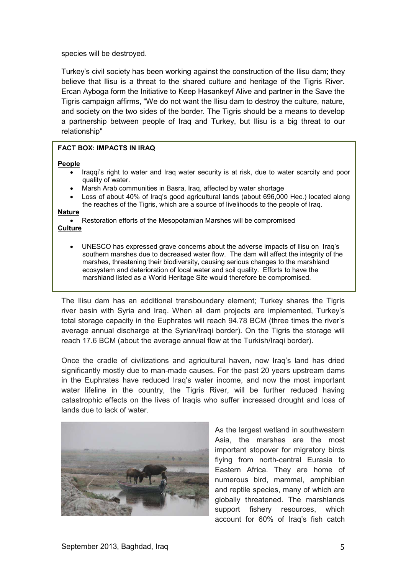species will be destroyed.

Turkey's civil society has been working against the construction of the Ilisu dam; they believe that Ilisu is a threat to the shared culture and heritage of the Tigris River. Ercan Ayboga form the Initiative to Keep Hasankeyf Alive and partner in the Save the Tigris campaign affirms, "We do not want the Ilisu dam to destroy the culture, nature, and society on the two sides of the border. The Tigris should be a means to develop a partnership between people of Iraq and Turkey, but Ilisu is a big threat to our relationship"

#### **FACT BOX: IMPACTS IN IRAQ**

#### **People**

- Iraqqi's right to water and Iraq water security is at risk, due to water scarcity and poor quality of water.
- Marsh Arab communities in Basra, Iraq, affected by water shortage
- Loss of about 40% of Iraq's good agricultural lands (about 696,000 Hec.) located along the reaches of the Tigris, which are a source of livelihoods to the people of Iraq.

#### **Nature**

• Restoration efforts of the Mesopotamian Marshes will be compromised **Culture**

• UNESCO has expressed grave concerns about the adverse impacts of Ilisu on Iraq's southern marshes due to decreased water flow. The dam will affect the integrity of the marshes, threatening their biodiversity, causing serious changes to the marshland ecosystem and deterioration of local water and soil quality. Efforts to have the marshland listed as a World Heritage Site would therefore be compromised.

The Ilisu dam has an additional transboundary element; Turkey shares the Tigris river basin with Syria and Iraq. When all dam projects are implemented, Turkey's total storage capacity in the Euphrates will reach 94.78 BCM (three times the river's average annual discharge at the Syrian/Iraqi border). On the Tigris the storage will reach 17.6 BCM (about the average annual flow at the Turkish/Iragi border).

Once the cradle of civilizations and agricultural haven, now Iraq's land has dried significantly mostly due to man-made causes. For the past 20 years upstream dams in the Euphrates have reduced Iraq's water income, and now the most important water lifeline in the country, the Tigris River, will be further reduced having catastrophic effects on the lives of Iraqis who suffer increased drought and loss of lands due to lack of water.



As the largest wetland in southwestern Asia, the marshes are the most important stopover for migratory birds flying from north-central Eurasia to Eastern Africa. They are home of numerous bird, mammal, amphibian and reptile species, many of which are globally threatened. The marshlands support fishery resources, which account for 60% of Iraq's fish catch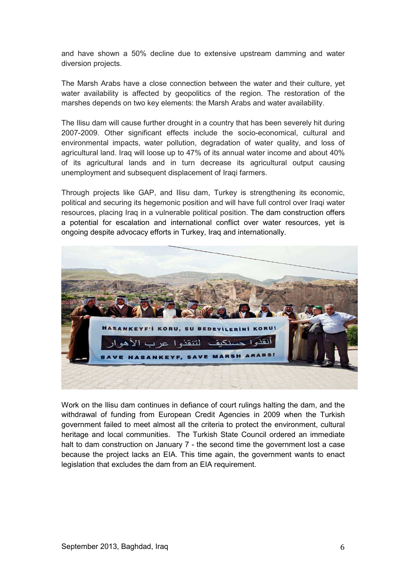and have shown a 50% decline due to extensive upstream damming and water diversion projects.

The Marsh Arabs have a close connection between the water and their culture, yet water availability is affected by geopolitics of the region. The restoration of the marshes depends on two key elements: the Marsh Arabs and water availability.

The Ilisu dam will cause further drought in a country that has been severely hit during 2007-2009. Other significant effects include the socio-economical, cultural and environmental impacts, water pollution, degradation of water quality, and loss of agricultural land. Iraq will loose up to 47% of its annual water income and about 40% of its agricultural lands and in turn decrease its agricultural output causing unemployment and subsequent displacement of Iraqi farmers.

Through projects like GAP, and Ilisu dam, Turkey is strengthening its economic, political and securing its hegemonic position and will have full control over Iraqi water resources, placing Iraq in a vulnerable political position. The dam construction offers a potential for escalation and international conflict over water resources, yet is ongoing despite advocacy efforts in Turkey, Iraq and internationally.



Work on the Ilisu dam continues in defiance of court rulings halting the dam, and the withdrawal of funding from European Credit Agencies in 2009 when the Turkish government failed to meet almost all the criteria to protect the environment, cultural heritage and local communities. The Turkish State Council ordered an immediate halt to dam construction on January 7 - the second time the government lost a case because the project lacks an EIA. This time again, the government wants to enact legislation that excludes the dam from an EIA requirement.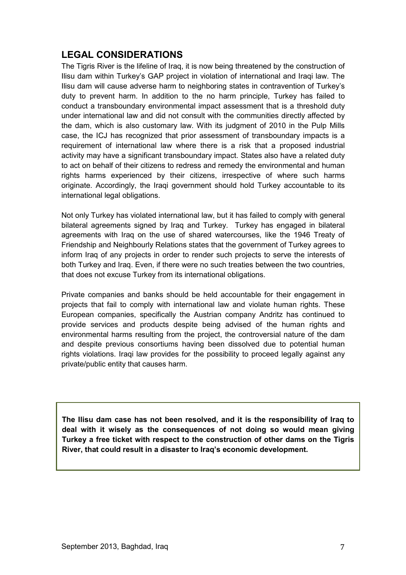# **LEGAL CONSIDERATIONS**

The Tigris River is the lifeline of Iraq, it is now being threatened by the construction of Ilisu dam within Turkey's GAP project in violation of international and Iraqi law. The Ilisu dam will cause adverse harm to neighboring states in contravention of Turkey's duty to prevent harm. In addition to the no harm principle, Turkey has failed to conduct a transboundary environmental impact assessment that is a threshold duty under international law and did not consult with the communities directly affected by the dam, which is also customary law. With its judgment of 2010 in the Pulp Mills case, the ICJ has recognized that prior assessment of transboundary impacts is a requirement of international law where there is a risk that a proposed industrial activity may have a significant transboundary impact. States also have a related duty to act on behalf of their citizens to redress and remedy the environmental and human rights harms experienced by their citizens, irrespective of where such harms originate. Accordingly, the Iraqi government should hold Turkey accountable to its international legal obligations.

Not only Turkey has violated international law, but it has failed to comply with general bilateral agreements signed by Iraq and Turkey. Turkey has engaged in bilateral agreements with Iraq on the use of shared watercourses, like the 1946 Treaty of Friendship and Neighbourly Relations states that the government of Turkey agrees to inform Iraq of any projects in order to render such projects to serve the interests of both Turkey and Iraq. Even, if there were no such treaties between the two countries, that does not excuse Turkey from its international obligations.

Private companies and banks should be held accountable for their engagement in projects that fail to comply with international law and violate human rights. These European companies, specifically the Austrian company Andritz has continued to provide services and products despite being advised of the human rights and environmental harms resulting from the project, the controversial nature of the dam and despite previous consortiums having been dissolved due to potential human rights violations. Iraqi law provides for the possibility to proceed legally against any private/public entity that causes harm.

**The Ilisu dam case has not been resolved, and it is the responsibility of Iraq to deal with it wisely as the consequences of not doing so would mean giving Turkey a free ticket with respect to the construction of other dams on the Tigris River, that could result in a disaster to Iraq's economic development.**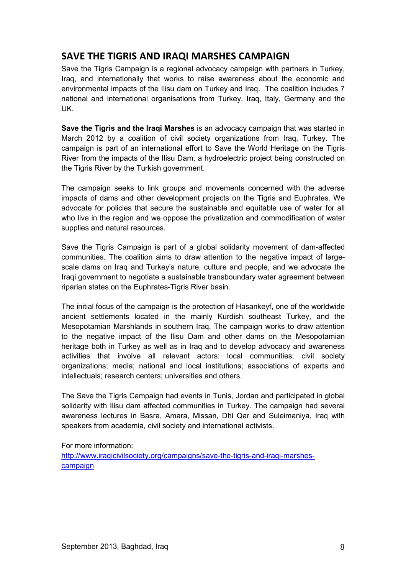# **SAVE THE TIGRIS AND IRAQI MARSHES CAMPAIGN**

Save the Tigris Campaign is a regional advocacy campaign with partners in Turkey, Iraq, and internationally that works to raise awareness about the economic and environmental impacts of the Ilisu dam on Turkey and Iraq. The coalition includes 7 national and international organisations from Turkey, Iraq, Italy, Germany and the UK.

**Save the Tigris and the Iraqi Marshes** is an advocacy campaign that was started in March 2012 by a coalition of civil society organizations from Iraq, Turkey. The campaign is part of an international effort to Save the World Heritage on the Tigris River from the impacts of the Ilisu Dam, a hydroelectric project being constructed on the Tigris River by the Turkish government.

The campaign seeks to link groups and movements concerned with the adverse impacts of dams and other development projects on the Tigris and Euphrates. We advocate for policies that secure the sustainable and equitable use of water for all who live in the region and we oppose the privatization and commodification of water supplies and natural resources.

Save the Tigris Campaign is part of a global solidarity movement of dam-affected communities. The coalition aims to draw attention to the negative impact of largescale dams on Iraq and Turkey's nature, culture and people, and we advocate the Iraqi government to negotiate a sustainable transboundary water agreement between riparian states on the Euphrates-Tigris River basin.

The initial focus of the campaign is the protection of Hasankeyf, one of the worldwide ancient settlements located in the mainly Kurdish southeast Turkey, and the Mesopotamian Marshlands in southern Iraq. The campaign works to draw attention to the negative impact of the Ilisu Dam and other dams on the Mesopotamian heritage both in Turkey as well as in Iraq and to develop advocacy and awareness activities that involve all relevant actors: local communities; civil society organizations; media; national and local institutions; associations of experts and intellectuals; research centers; universities and others.

The Save the Tigris Campaign had events in Tunis, Jordan and participated in global solidarity with Ilisu dam affected communities in Turkey. The campaign had several awareness lectures in Basra, Amara, Missan, Dhi Qar and Suleimaniya, Iraq with speakers from academia, civil society and international activists.

For more information:

http://www.iraqicivilsociety.org/campaigns/save-the-tigris-and-iraqi-marshescampaign